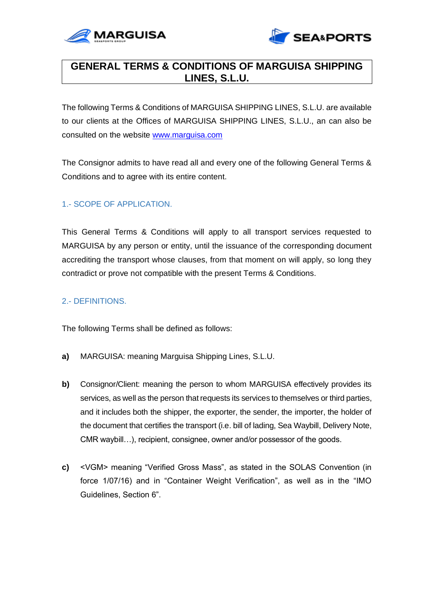



# **GENERAL TERMS & CONDITIONS OF MARGUISA SHIPPING LINES, S.L.U.**

The following Terms & Conditions of MARGUISA SHIPPING LINES, S.L.U. are available to our clients at the Offices of MARGUISA SHIPPING LINES, S.L.U., an can also be consulted on the website [www.marguisa.com](http://www.marguisa.com/)

The Consignor admits to have read all and every one of the following General Terms & Conditions and to agree with its entire content.

# 1.- SCOPE OF APPLICATION.

This General Terms & Conditions will apply to all transport services requested to MARGUISA by any person or entity, until the issuance of the corresponding document accrediting the transport whose clauses, from that moment on will apply, so long they contradict or prove not compatible with the present Terms & Conditions.

# 2.- DEFINITIONS.

The following Terms shall be defined as follows:

- **a)** MARGUISA: meaning Marguisa Shipping Lines, S.L.U.
- **b)** Consignor/Client: meaning the person to whom MARGUISA effectively provides its services, as well as the person that requests its services to themselves or third parties, and it includes both the shipper, the exporter, the sender, the importer, the holder of the document that certifies the transport (i.e. bill of lading, Sea Waybill, Delivery Note, CMR waybill…), recipient, consignee, owner and/or possessor of the goods.
- **c)** <VGM> meaning "Verified Gross Mass", as stated in the SOLAS Convention (in force 1/07/16) and in "Container Weight Verification", as well as in the "IMO Guidelines, Section 6".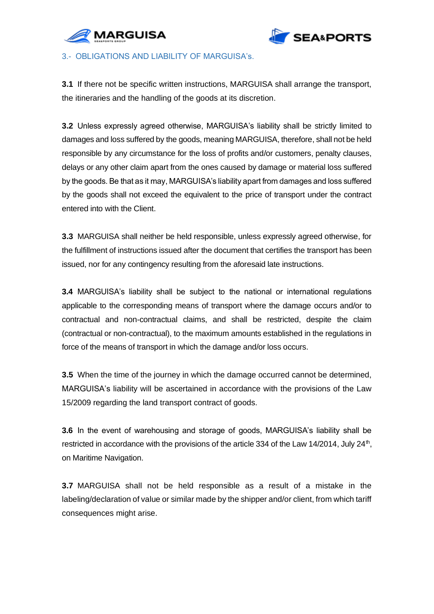



#### 3.- OBLIGATIONS AND LIABILITY OF MARGUISA's.

**3.1** If there not be specific written instructions, MARGUISA shall arrange the transport, the itineraries and the handling of the goods at its discretion.

**3.2** Unless expressly agreed otherwise, MARGUISA's liability shall be strictly limited to damages and loss suffered by the goods, meaning MARGUISA, therefore, shall not be held responsible by any circumstance for the loss of profits and/or customers, penalty clauses, delays or any other claim apart from the ones caused by damage or material loss suffered by the goods. Be that as it may, MARGUISA's liability apart from damages and loss suffered by the goods shall not exceed the equivalent to the price of transport under the contract entered into with the Client.

**3.3** MARGUISA shall neither be held responsible, unless expressly agreed otherwise, for the fulfillment of instructions issued after the document that certifies the transport has been issued, nor for any contingency resulting from the aforesaid late instructions.

**3.4** MARGUISA's liability shall be subject to the national or international regulations applicable to the corresponding means of transport where the damage occurs and/or to contractual and non-contractual claims, and shall be restricted, despite the claim (contractual or non-contractual), to the maximum amounts established in the regulations in force of the means of transport in which the damage and/or loss occurs.

**3.5** When the time of the journey in which the damage occurred cannot be determined, MARGUISA's liability will be ascertained in accordance with the provisions of the Law 15/2009 regarding the land transport contract of goods.

**3.6** In the event of warehousing and storage of goods, MARGUISA's liability shall be restricted in accordance with the provisions of the article 334 of the Law 14/2014, July 24<sup>th</sup>, on Maritime Navigation.

**3.7** MARGUISA shall not be held responsible as a result of a mistake in the labeling/declaration of value or similar made by the shipper and/or client, from which tariff consequences might arise.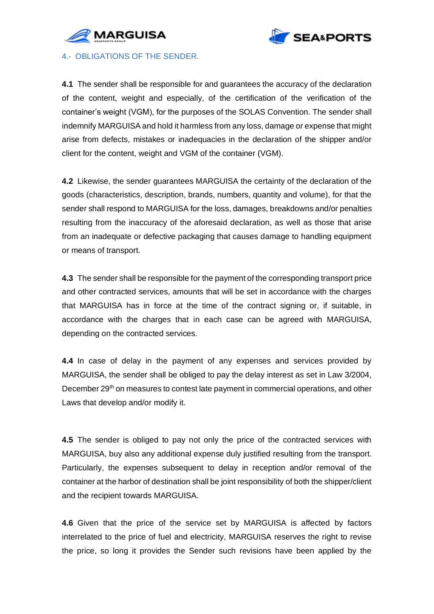



4.- OBLIGATIONS OF THE SENDER.

**4.1** The sender shall be responsible for and guarantees the accuracy of the declaration of the content, weight and especially, of the certification of the verification of the container's weight (VGM), for the purposes of the SOLAS Convention. The sender shall indemnify MARGUISA and hold it harmless from any loss, damage or expense that might arise from defects, mistakes or inadequacies in the declaration of the shipper and/or client for the content, weight and VGM of the container (VGM).

**4.2** Likewise, the sender guarantees MARGUISA the certainty of the declaration of the goods (characteristics, description, brands, numbers, quantity and volume), for that the sender shall respond to MARGUISA for the loss, damages, breakdowns and/or penalties resulting from the inaccuracy of the aforesaid declaration, as well as those that arise from an inadequate or defective packaging that causes damage to handling equipment or means of transport.

**4.3** The sender shall be responsible for the payment of the corresponding transport price and other contracted services, amounts that will be set in accordance with the charges that MARGUISA has in force at the time of the contract signing or, if suitable, in accordance with the charges that in each case can be agreed with MARGUISA, depending on the contracted services.

**4.4** In case of delay in the payment of any expenses and services provided by MARGUISA, the sender shall be obliged to pay the delay interest as set in Law 3/2004, December 29<sup>th</sup> on measures to contest late payment in commercial operations, and other Laws that develop and/or modify it.

**4.5** The sender is obliged to pay not only the price of the contracted services with MARGUISA, buy also any additional expense duly justified resulting from the transport. Particularly, the expenses subsequent to delay in reception and/or removal of the container at the harbor of destination shall be joint responsibility of both the shipper/client and the recipient towards MARGUISA.

**4.6** Given that the price of the service set by MARGUISA is affected by factors interrelated to the price of fuel and electricity, MARGUISA reserves the right to revise the price, so long it provides the Sender such revisions have been applied by the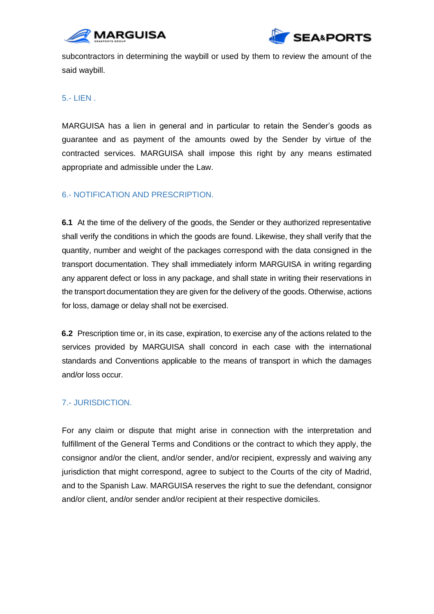



subcontractors in determining the waybill or used by them to review the amount of the said waybill.

5.- LIEN .

MARGUISA has a lien in general and in particular to retain the Sender's goods as guarantee and as payment of the amounts owed by the Sender by virtue of the contracted services. MARGUISA shall impose this right by any means estimated appropriate and admissible under the Law.

# 6.- NOTIFICATION AND PRESCRIPTION.

**6.1** At the time of the delivery of the goods, the Sender or they authorized representative shall verify the conditions in which the goods are found. Likewise, they shall verify that the quantity, number and weight of the packages correspond with the data consigned in the transport documentation. They shall immediately inform MARGUISA in writing regarding any apparent defect or loss in any package, and shall state in writing their reservations in the transport documentation they are given for the delivery of the goods. Otherwise, actions for loss, damage or delay shall not be exercised.

**6.2** Prescription time or, in its case, expiration, to exercise any of the actions related to the services provided by MARGUISA shall concord in each case with the international standards and Conventions applicable to the means of transport in which the damages and/or loss occur.

# 7.- JURISDICTION.

For any claim or dispute that might arise in connection with the interpretation and fulfillment of the General Terms and Conditions or the contract to which they apply, the consignor and/or the client, and/or sender, and/or recipient, expressly and waiving any jurisdiction that might correspond, agree to subject to the Courts of the city of Madrid, and to the Spanish Law. MARGUISA reserves the right to sue the defendant, consignor and/or client, and/or sender and/or recipient at their respective domiciles.